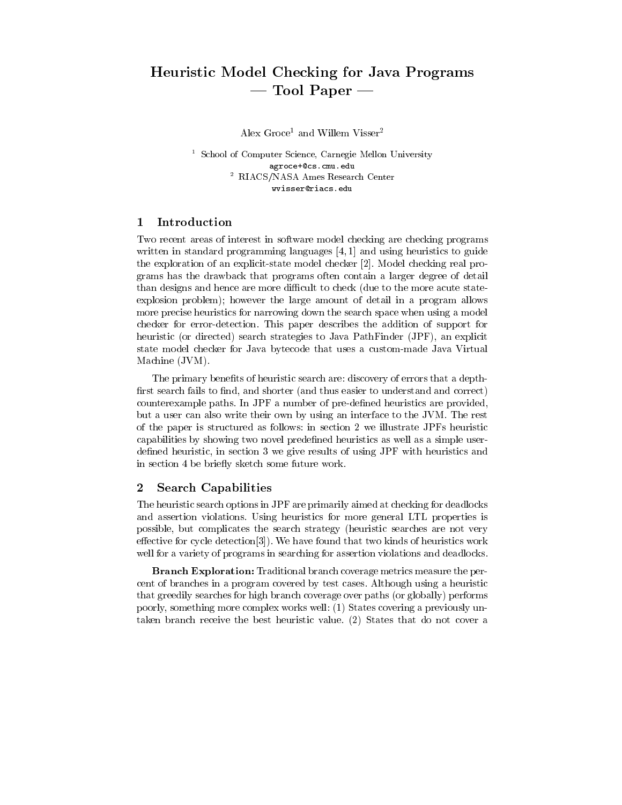# Heuristic Model Checking for Java Programs | Tool Paper | Tool Paper | Tool Paper | Tool Paper | Tool Paper | Tool Paper | Tool Paper | Tool Paper | Tool

Alex Groce<sup>1</sup> and Willem Visser<sup>2</sup>

<sup>1</sup> School of Computer Science, Carnegie Mellon University agroce+@cs.cmu.edu<sup>2</sup> RIACS/NASA Ames Research Center wvisser@riacs.edu

Two recent areas of interest in software model checking are checking programs written in standard programming languages [4, 1] and using heuristics to guide the exploration of an explicit-state model checker [2]. Model checking real programs has the drawback that programs often contain a larger degree of detail than designs and hence are more difficult to check (due to the more acute stateexplosion problem); however the large amount of detail in a program allows more precise heuristics for narrowing down the search space when using a model checker for error-detection. This paper describes the addition of support for heuristic (or directed) search strategies to Java PathFinder (JPF), an explicit state model checker for Java bytecode that uses a custom-made Java Virtual Machine (JVM).

The primary benefits of heuristic search are: discovery of errors that a depthfirst search fails to find, and shorter (and thus easier to understand and correct) counterexample paths. In JPF a number of pre-defined heuristics are provided, but a user can also write their own by using an interface to the JVM. The rest of the paper is structured as follows: in section 2 we illustrate JPFs heuristic capabilities by showing two novel predefined heuristics as well as a simple userdefined heuristic, in section 3 we give results of using JPF with heuristics and in section 4 be briefly sketch some future work.

# <sup>2</sup> Search Capabilities

The heuristic search options in JPF are primarily aimed at checking for deadlocks and assertion violations. Using heuristics for more general LTL properties is possible, but complicates the search strategy (heuristic searches are not very effective for cycle detection<sup>[3]</sup>). We have found that two kinds of heuristics work well for a variety of programs in searching for assertion violations and deadlocks.

Branch Exploration: Traditional branch coverage metrics measure the percent of branches in a program covered by test cases. Although using a heuristic that greedily searches for high branch coverage over paths (or globally) performs poorly, something more complex works well: (1) States covering a previously untaken branch receive the best heuristic value. (2) States that do not cover a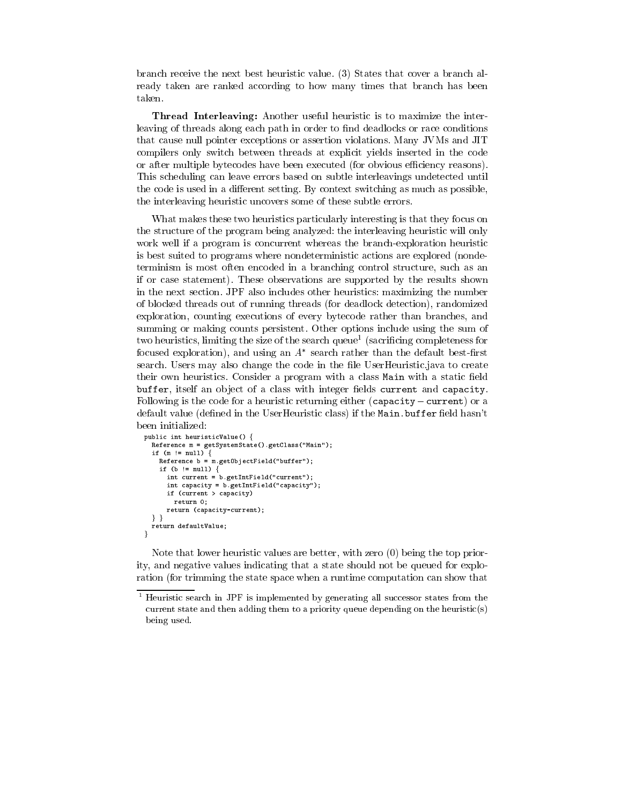branch receive the next best heuristic value. (3) States that cover a branch already taken are ranked according to how many times that branch has been taken.

Thread Interleaving: Another useful heuristic is to maximize the interleaving of threads along each path in order to find deadlocks or race conditions that cause null pointer exceptions or assertion violations. Many JVMs and JIT compilers only switch between threads at explicit yields inserted in the code or after multiple bytecodes have been executed (for obvious efficiency reasons). This scheduling can leave errors based on subtle interleavings undetected until the code is used in a different setting. By context switching as much as possible, the interleaving heuristic uncovers some of these subtle errors.

What makes these two heuristics particularly interesting is that they focus on the structure of the program being analyzed: the interleaving heuristic will only work well if a program is concurrent whereas the branch-exploration heuristic is best suited to programs where nondeterministic actions are explored (nondeterminism is most often encoded in a branching control structure, such as an if or case statement). These observations are supported by the results shown in the next section. JPF also includes other heuristics: maximizing the number of blocked threads out of running threads (for deadlock detection), randomized exploration, counting executions of every bytecode rather than branches, and summing or making counts persistent. Other options include using the sum of two heuristics, immting the size of the search queue- (sacrificing completeness for focused exploration), and using an  $A^*$  search rather than the default best-first search. Users may also change the code in the file UserHeuristic.java to create their own heuristics. Consider a program with a class Main with a static field buffer, itself an object of a class with integer fields current and capacity. Following is the code for a heuristic returning either (capacity  $-$  current) or a default value (defined in the UserHeuristic class) if the Main.buffer field hasn't been initialized:

```
public int heuristicValue()blic int heuristicValue() {<br>Reference m = getSystemState().getClass("Main");
if (m := null) \{Reference b = m.getObjectField("buffer");if (b != null) {
    int current = b.getIntField("current");int capacity = b.getIntField("capacity");if (current > capacity)return 0;return (capacity-current);\mathcal{V}return defaultValue;\}
```
Note that lower heuristic values are better, with zero (0) being the top priority, and negative values indicating that a state should not be queued for exploration (for trimming the state space when a runtime computation can show that

<sup>1</sup> Heuristic search in JPF is implemented by generating all successor states from the current state and then adding them to a priority queue depending on the heuristic(s) being used.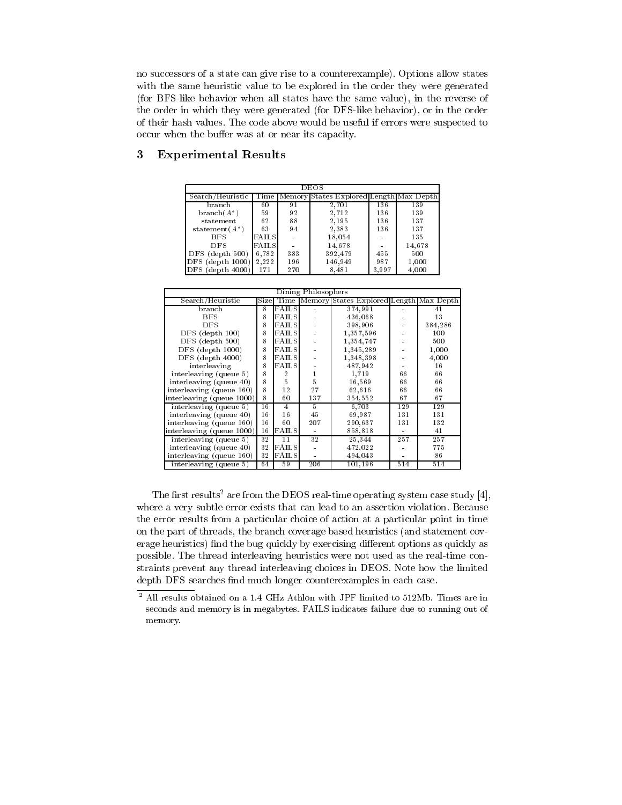no successors of a state can give rise to a counterexample). Options allow states with the same heuristic value to be explored in the order they were generated (for BFS-like behavior when all states have the same value), in the reverse of the order in which they were generated (for DFS-like behavior), or in the order of their hash values. The code above would be useful if errors were suspected to occur when the buffer was at or near its capacity.

| DEOS                 |       |                |                                              |       |        |  |  |  |  |  |
|----------------------|-------|----------------|----------------------------------------------|-------|--------|--|--|--|--|--|
| Search/Heuristic     |       |                | Time Memory States Explored Length Max Depth |       |        |  |  |  |  |  |
| branch               | 60    | 91             | 2,701                                        | 136   | 139    |  |  |  |  |  |
| $branch(A^*)$        | 59    | 92             | 2,712                                        | 136   | 139    |  |  |  |  |  |
| statement            | 62    | 88             | 2,195                                        | 136   | 137    |  |  |  |  |  |
| statement $(A^*)$    | 63    | 94             | 2,383                                        | 136   | 137    |  |  |  |  |  |
| <b>BFS</b>           | FAILS |                | 18,054                                       |       | 135    |  |  |  |  |  |
| <b>DFS</b>           | FAILS | $\blacksquare$ | 14,678                                       |       | 14,678 |  |  |  |  |  |
| (depth 500)<br>DFS.  | 6.782 | 383            | 392,479                                      | 455   | 500    |  |  |  |  |  |
| (depth 1000)<br>DFS  | 2.222 | 196            | 146,949                                      | 987   | 1,000  |  |  |  |  |  |
| (depth 4000)<br>DFS. | 171   | 270            | 8,481                                        | 3.997 | 4,000  |  |  |  |  |  |

# <sup>3</sup> Experimental Results

|                           |    |                | Dining Philosophers |                                                     |     |         |
|---------------------------|----|----------------|---------------------|-----------------------------------------------------|-----|---------|
| Search/Heuristic          |    |                |                     | Size  Time  Memory States Explored Length Max Depth |     |         |
| branch                    | 8  | FAILS          |                     | 374,991                                             |     | 41      |
| <b>BFS</b>                | 8  | <b>FAILS</b>   |                     | 436,068                                             |     | 13      |
| <b>DFS</b>                | 8  | <b>FAILS</b>   |                     | 398,906                                             |     | 384,286 |
| DFS (depth 100)           | 8  | <b>FAILS</b>   |                     | 1,357,596                                           |     | 100     |
| DFS (depth 500)           | 8  | FAILS          |                     | 1,354,747                                           |     | 500     |
| DFS (depth 1000)          | 8  | <b>FAILS</b>   |                     | 1,345,289                                           |     | 1,000   |
| DFS (depth 4000)          | 8  | <b>FAILS</b>   | ä,                  | 1,348,398                                           |     | 4,000   |
| interleaving              | 8  | <b>FAILS</b>   |                     | 487,942                                             |     | 16      |
| interleaving (queue 5)    | 8  | $\overline{2}$ | $\mathbf{1}$        | 1,719                                               | 66  | 66      |
| interleaving (queue 40)   | 8  | $\overline{5}$ | $\overline{5}$      | 16,569                                              | 66  | 66      |
| interleaving (queue 160)  | 8  | 12             | 27                  | 62,616                                              | 66  | 66      |
| interleaving (queue 1000) | 8  | 60             | 137                 | 354,552                                             | 67  | 67      |
| interleaving (queue 5)    | 16 | $\overline{4}$ | 5                   | 6,703                                               | 129 | 129     |
| interleaving (queue 40)   | 16 | 16             | 45                  | 69,987                                              | 131 | 131     |
| interleaving (queue 160)  | 16 | 60             | 207                 | 290,637                                             | 131 | 132     |
| interleaving (queue 1000) | 16 | <b>FAILS</b>   |                     | 858,818                                             |     | 41      |
| interleaving (queue 5)    | 32 | 11             | 32                  | 25,344                                              | 257 | 257     |
| interleaving (queue 40)   | 32 | <b>FAILS</b>   |                     | 472,022                                             |     | 775     |
| interleaving (queue 160)  | 32 | <b>FAILS</b>   | ۰                   | 494,043                                             |     | 86      |
| interleaving (queue 5)    | 64 | 59             | 206                 | 101,196                                             | 514 | 514     |

The first results<sup>2</sup> are from the DEOS real-time operating system case study [4], where a very subtle error exists that can lead to an assertion violation. Because the error results from a particular choice of action at a particular point in time on the part of threads, the branch coverage based heuristics (and statement cov erage heuristics) find the bug quickly by exercising different options as quickly as possible. The thread interleaving heuristics were not used as the real-time constraints prevent any thread interleaving choices in DEOS. Note how the limited depth DFS searches find much longer counterexamples in each case.

<sup>2</sup> All results obtained on a 1.4 GHz Athlon with JPF limited to 512Mb. Times are in seconds and memory is in megabytes. FAILS indicates failure due to running out of memory.